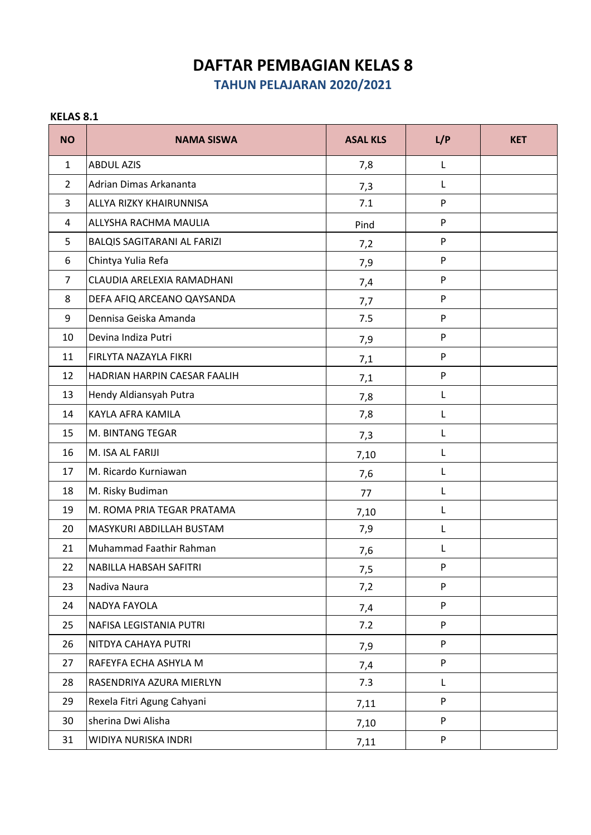**TAHUN PELAJARAN 2020/2021**

| <b>NO</b>      | <b>NAMA SISWA</b>                  | <b>ASAL KLS</b> | L/P | <b>KET</b> |
|----------------|------------------------------------|-----------------|-----|------------|
| $\mathbf{1}$   | <b>ABDUL AZIS</b>                  | 7,8             | L   |            |
| $\overline{2}$ | Adrian Dimas Arkananta             | 7,3             | L   |            |
| 3              | ALLYA RIZKY KHAIRUNNISA            | 7.1             | P   |            |
| 4              | ALLYSHA RACHMA MAULIA              | Pind            | P   |            |
| 5              | <b>BALQIS SAGITARANI AL FARIZI</b> | 7,2             | P   |            |
| 6              | Chintya Yulia Refa                 | 7,9             | P   |            |
| $\overline{7}$ | CLAUDIA ARELEXIA RAMADHANI         | 7,4             | P   |            |
| 8              | DEFA AFIQ ARCEANO QAYSANDA         | 7,7             | P   |            |
| 9              | Dennisa Geiska Amanda              | 7.5             | P   |            |
| 10             | Devina Indiza Putri                | 7,9             | P   |            |
| 11             | FIRLYTA NAZAYLA FIKRI              | 7,1             | P   |            |
| 12             | HADRIAN HARPIN CAESAR FAALIH       | 7,1             | P   |            |
| 13             | Hendy Aldiansyah Putra             | 7,8             | L   |            |
| 14             | KAYLA AFRA KAMILA                  | 7,8             | L   |            |
| 15             | M. BINTANG TEGAR                   | 7,3             | L   |            |
| 16             | M. ISA AL FARIJI                   | 7,10            | L   |            |
| 17             | M. Ricardo Kurniawan               | 7,6             | L   |            |
| 18             | M. Risky Budiman                   | 77              | L   |            |
| 19             | M. ROMA PRIA TEGAR PRATAMA         | 7,10            | L   |            |
| 20             | MASYKURI ABDILLAH BUSTAM           | 7,9             | L   |            |
| 21             | Muhammad Faathir Rahman            | 7,6             | L   |            |
| 22             | NABILLA HABSAH SAFITRI             | 7,5             | P   |            |
| 23             | Nadiva Naura                       | 7,2             | P   |            |
| 24             | NADYA FAYOLA                       | 7,4             | P   |            |
| 25             | NAFISA LEGISTANIA PUTRI            | 7.2             | P   |            |
| 26             | NITDYA CAHAYA PUTRI                | 7,9             | P   |            |
| 27             | RAFEYFA ECHA ASHYLA M              | 7,4             | P   |            |
| 28             | RASENDRIYA AZURA MIERLYN           | 7.3             | L   |            |
| 29             | Rexela Fitri Agung Cahyani         | 7,11            | P   |            |
| 30             | sherina Dwi Alisha                 | 7,10            | P   |            |
| 31             | WIDIYA NURISKA INDRI               | 7,11            | P   |            |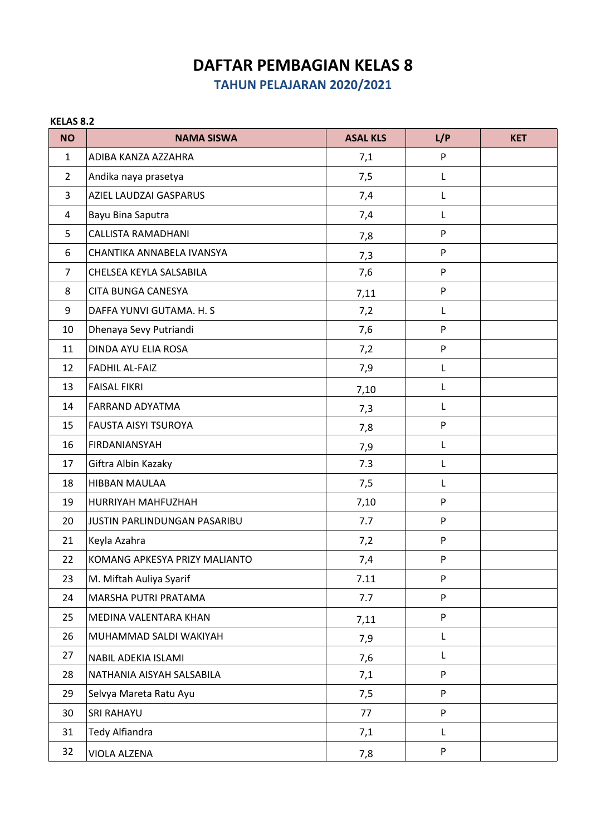**TAHUN PELAJARAN 2020/2021**

| <b>NO</b>      | <b>NAMA SISWA</b>             | <b>ASAL KLS</b> | L/P | <b>KET</b> |
|----------------|-------------------------------|-----------------|-----|------------|
| $\mathbf{1}$   | ADIBA KANZA AZZAHRA           | 7,1             | P   |            |
| $\overline{2}$ | Andika naya prasetya          | 7,5             | L   |            |
| 3              | AZIEL LAUDZAI GASPARUS        | 7,4             | L   |            |
| 4              | Bayu Bina Saputra             | 7,4             | L   |            |
| 5              | <b>CALLISTA RAMADHANI</b>     | 7,8             | P   |            |
| 6              | CHANTIKA ANNABELA IVANSYA     | 7,3             | P   |            |
| $\overline{7}$ | CHELSEA KEYLA SALSABILA       | 7,6             | P   |            |
| 8              | CITA BUNGA CANESYA            | 7,11            | P   |            |
| 9              | DAFFA YUNVI GUTAMA. H. S      | 7,2             | L   |            |
| 10             | Dhenaya Sevy Putriandi        | 7,6             | P   |            |
| 11             | DINDA AYU ELIA ROSA           | 7,2             | P   |            |
| 12             | <b>FADHIL AL-FAIZ</b>         | 7,9             | L   |            |
| 13             | <b>FAISAL FIKRI</b>           | 7,10            | L   |            |
| 14             | <b>FARRAND ADYATMA</b>        | 7,3             | L   |            |
| 15             | <b>FAUSTA AISYI TSUROYA</b>   | 7,8             | P   |            |
| 16             | FIRDANIANSYAH                 | 7,9             | L   |            |
| 17             | Giftra Albin Kazaky           | 7.3             | L   |            |
| 18             | <b>HIBBAN MAULAA</b>          | 7,5             | L   |            |
| 19             | HURRIYAH MAHFUZHAH            | 7,10            | P   |            |
| 20             | JUSTIN PARLINDUNGAN PASARIBU  | 7.7             | P   |            |
| 21             | Keyla Azahra                  | 7,2             | P   |            |
| 22             | KOMANG APKESYA PRIZY MALIANTO | 7,4             | P   |            |
| 23             | M. Miftah Auliya Syarif       | 7.11            | P   |            |
| 24             | MARSHA PUTRI PRATAMA          | 7.7             | P   |            |
| 25             | MEDINA VALENTARA KHAN         | 7,11            | P   |            |
| 26             | MUHAMMAD SALDI WAKIYAH        | 7,9             | L   |            |
| 27             | NABIL ADEKIA ISLAMI           | 7,6             | L   |            |
| 28             | NATHANIA AISYAH SALSABILA     | 7,1             | P   |            |
| 29             | Selvya Mareta Ratu Ayu        | 7,5             | P   |            |
| 30             | <b>SRI RAHAYU</b>             | 77              | P   |            |
| 31             | Tedy Alfiandra                | 7,1             | L   |            |
| 32             | VIOLA ALZENA                  | 7,8             | P   |            |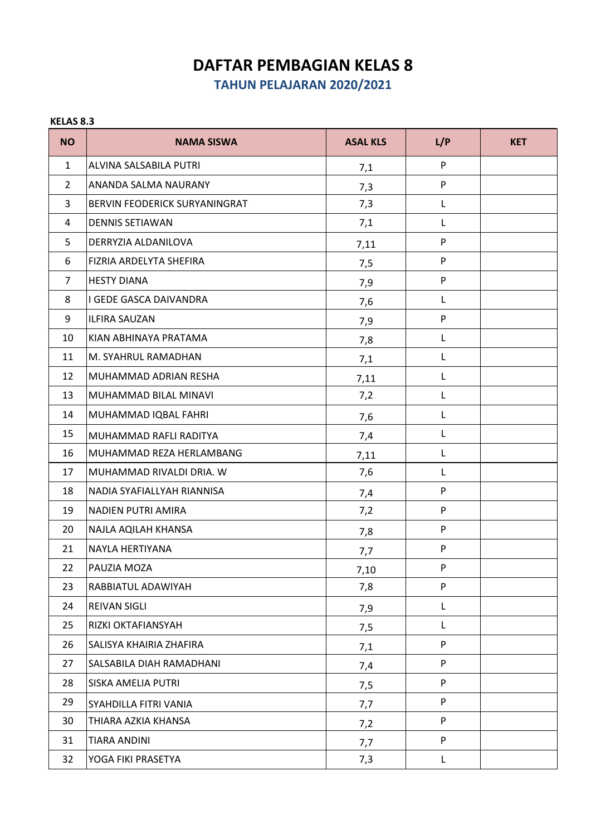**TAHUN PELAJARAN 2020/2021**

| <b>NO</b>      | <b>NAMA SISWA</b>             | <b>ASAL KLS</b> | L/P | <b>KET</b> |
|----------------|-------------------------------|-----------------|-----|------------|
| $\mathbf{1}$   | ALVINA SALSABILA PUTRI        | 7,1             | P   |            |
| $\overline{2}$ | ANANDA SALMA NAURANY          | 7,3             | P   |            |
| 3              | BERVIN FEODERICK SURYANINGRAT | 7,3             | L   |            |
| 4              | <b>DENNIS SETIAWAN</b>        | 7,1             | L   |            |
| 5              | DERRYZIA ALDANILOVA           | 7,11            | P   |            |
| 6              | FIZRIA ARDELYTA SHEFIRA       | 7,5             | P   |            |
| $\overline{7}$ | <b>HESTY DIANA</b>            | 7,9             | P   |            |
| 8              | I GEDE GASCA DAIVANDRA        | 7,6             | L   |            |
| 9              | <b>ILFIRA SAUZAN</b>          | 7,9             | P   |            |
| 10             | KIAN ABHINAYA PRATAMA         | 7,8             | L   |            |
| 11             | M. SYAHRUL RAMADHAN           | 7,1             | L   |            |
| 12             | MUHAMMAD ADRIAN RESHA         | 7,11            | L   |            |
| 13             | MUHAMMAD BILAL MINAVI         | 7,2             | L   |            |
| 14             | MUHAMMAD IQBAL FAHRI          | 7,6             | L   |            |
| 15             | MUHAMMAD RAFLI RADITYA        | 7,4             | L.  |            |
| 16             | MUHAMMAD REZA HERLAMBANG      | 7,11            | L   |            |
| 17             | MUHAMMAD RIVALDI DRIA. W      | 7,6             | L   |            |
| 18             | NADIA SYAFIALLYAH RIANNISA    | 7,4             | P   |            |
| 19             | NADIEN PUTRI AMIRA            | 7,2             | P   |            |
| 20             | NAJLA AQILAH KHANSA           | 7,8             | P   |            |
| 21             | NAYLA HERTIYANA               | 7,7             | P   |            |
| 22             | PAUZIA MOZA                   | 7,10            | P   |            |
| 23             | RABBIATUL ADAWIYAH            | 7,8             | P   |            |
| 24             | <b>REIVAN SIGLI</b>           | 7,9             | L   |            |
| 25             | RIZKI OKTAFIANSYAH            | 7,5             | L   |            |
| 26             | SALISYA KHAIRIA ZHAFIRA       | 7,1             | P   |            |
| 27             | SALSABILA DIAH RAMADHANI      | 7,4             | P   |            |
| 28             | SISKA AMELIA PUTRI            | 7,5             | P   |            |
| 29             | SYAHDILLA FITRI VANIA         | 7,7             | P   |            |
| 30             | THIARA AZKIA KHANSA           | 7,2             | P   |            |
| 31             | <b>TIARA ANDINI</b>           | 7,7             | P   |            |
| 32             | YOGA FIKI PRASETYA            | 7,3             | L   |            |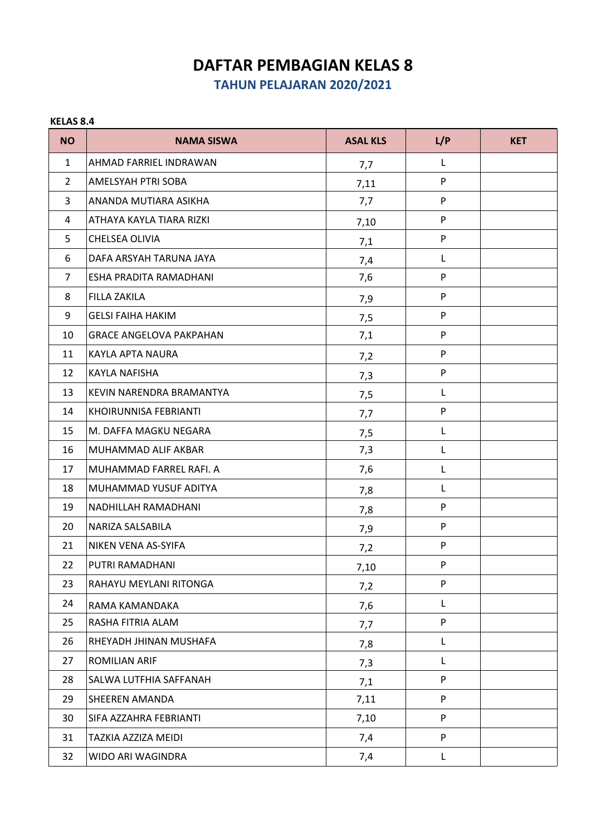**TAHUN PELAJARAN 2020/2021**

| <b>NO</b>      | <b>NAMA SISWA</b>              | <b>ASAL KLS</b> | L/P | <b>KET</b> |
|----------------|--------------------------------|-----------------|-----|------------|
| 1              | <b>AHMAD FARRIEL INDRAWAN</b>  | 7,7             | L   |            |
| $\overline{2}$ | AMELSYAH PTRI SOBA             | 7,11            | P   |            |
| 3              | ANANDA MUTIARA ASIKHA          | 7,7             | P   |            |
| 4              | ATHAYA KAYLA TIARA RIZKI       | 7,10            | P   |            |
| 5              | CHELSEA OLIVIA                 | 7,1             | P   |            |
| 6              | DAFA ARSYAH TARUNA JAYA        | 7,4             | L   |            |
| $\overline{7}$ | <b>ESHA PRADITA RAMADHANI</b>  | 7,6             | P   |            |
| 8              | <b>FILLA ZAKILA</b>            | 7,9             | P   |            |
| 9              | <b>GELSI FAIHA HAKIM</b>       | 7,5             | P   |            |
| 10             | <b>GRACE ANGELOVA PAKPAHAN</b> | 7,1             | P   |            |
| 11             | KAYLA APTA NAURA               | 7,2             | P   |            |
| 12             | <b>KAYLA NAFISHA</b>           | 7,3             | P   |            |
| 13             | KEVIN NARENDRA BRAMANTYA       | 7,5             | L   |            |
| 14             | KHOIRUNNISA FEBRIANTI          | 7,7             | P   |            |
| 15             | M. DAFFA MAGKU NEGARA          | 7,5             | L   |            |
| 16             | MUHAMMAD ALIF AKBAR            | 7,3             | L   |            |
| 17             | MUHAMMAD FARREL RAFI. A        | 7,6             | L   |            |
| 18             | MUHAMMAD YUSUF ADITYA          | 7,8             | L   |            |
| 19             | NADHILLAH RAMADHANI            | 7,8             | P   |            |
| 20             | NARIZA SALSABILA               | 7,9             | P   |            |
| 21             | NIKEN VENA AS-SYIFA            | 7,2             | P   |            |
| 22             | PUTRI RAMADHANI                | 7,10            | P   |            |
| 23             | RAHAYU MEYLANI RITONGA         | 7,2             | P   |            |
| 24             | RAMA KAMANDAKA                 | 7,6             | L   |            |
| 25             | RASHA FITRIA ALAM              | 7,7             | P   |            |
| 26             | RHEYADH JHINAN MUSHAFA         | 7,8             | L   |            |
| 27             | <b>ROMILIAN ARIF</b>           | 7,3             | L   |            |
| 28             | SALWA LUTFHIA SAFFANAH         | 7,1             | P   |            |
| 29             | <b>SHEEREN AMANDA</b>          | 7,11            | P   |            |
| 30             | SIFA AZZAHRA FEBRIANTI         | 7,10            | P   |            |
| 31             | TAZKIA AZZIZA MEIDI            | 7,4             | P   |            |
| 32             | WIDO ARI WAGINDRA              | 7,4             | L   |            |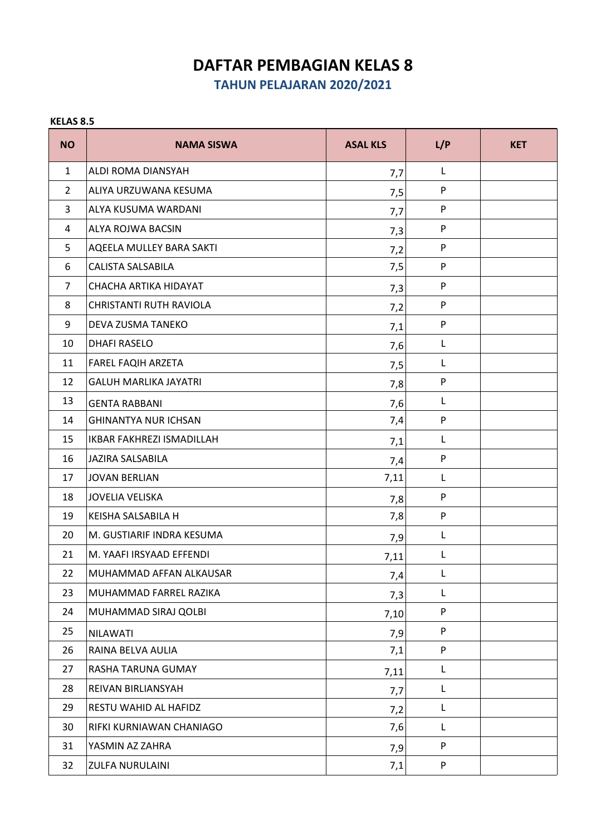**TAHUN PELAJARAN 2020/2021**

| <b>NO</b>      | <b>NAMA SISWA</b>                | <b>ASAL KLS</b> | L/P | <b>KET</b> |
|----------------|----------------------------------|-----------------|-----|------------|
| $\mathbf{1}$   | <b>ALDI ROMA DIANSYAH</b>        | 7,7             | L   |            |
| $\overline{2}$ | ALIYA URZUWANA KESUMA            | 7,5             | P   |            |
| 3              | ALYA KUSUMA WARDANI              | 7,7             | P   |            |
| 4              | <b>ALYA ROJWA BACSIN</b>         | 7,3             | P   |            |
| 5              | AQEELA MULLEY BARA SAKTI         | 7,2             | P   |            |
| 6              | <b>CALISTA SALSABILA</b>         | 7,5             | P   |            |
| $\overline{7}$ | CHACHA ARTIKA HIDAYAT            | 7,3             | P   |            |
| 8              | <b>CHRISTANTI RUTH RAVIOLA</b>   | 7,2             | P   |            |
| 9              | DEVA ZUSMA TANEKO                | 7,1             | P   |            |
| 10             | <b>DHAFI RASELO</b>              | 7,6             | L   |            |
| 11             | <b>FAREL FAQIH ARZETA</b>        | 7,5             | L   |            |
| 12             | <b>GALUH MARLIKA JAYATRI</b>     | 7,8             | P   |            |
| 13             | <b>GENTA RABBANI</b>             | 7,6             | L   |            |
| 14             | <b>GHINANTYA NUR ICHSAN</b>      | 7,4             | P   |            |
| 15             | <b>IKBAR FAKHREZI ISMADILLAH</b> | 7,1             | L   |            |
| 16             | <b>JAZIRA SALSABILA</b>          | 7,4             | P   |            |
| 17             | <b>JOVAN BERLIAN</b>             | 7,11            | L   |            |
| 18             | <b>JOVELIA VELISKA</b>           | 7,8             | P   |            |
| 19             | <b>KEISHA SALSABILA H</b>        | 7,8             | P   |            |
| 20             | M. GUSTIARIF INDRA KESUMA        | 7,9             | L   |            |
| 21             | M. YAAFI IRSYAAD EFFENDI         | 7,11            | L   |            |
| 22             | MUHAMMAD AFFAN ALKAUSAR          | 7,4             | L   |            |
| 23             | MUHAMMAD FARREL RAZIKA           | 7,3             | L   |            |
| 24             | MUHAMMAD SIRAJ QOLBI             | 7,10            | P   |            |
| 25             | <b>NILAWATI</b>                  | 7,9             | P   |            |
| 26             | RAINA BELVA AULIA                | 7,1             | P   |            |
| 27             | RASHA TARUNA GUMAY               | 7,11            | L   |            |
| 28             | REIVAN BIRLIANSYAH               | 7,7             | L   |            |
| 29             | RESTU WAHID AL HAFIDZ            | 7,2             | L   |            |
| 30             | RIFKI KURNIAWAN CHANIAGO         | 7,6             | L   |            |
| 31             | YASMIN AZ ZAHRA                  | 7,9             | P   |            |
| 32             | <b>ZULFA NURULAINI</b>           | 7,1             | P   |            |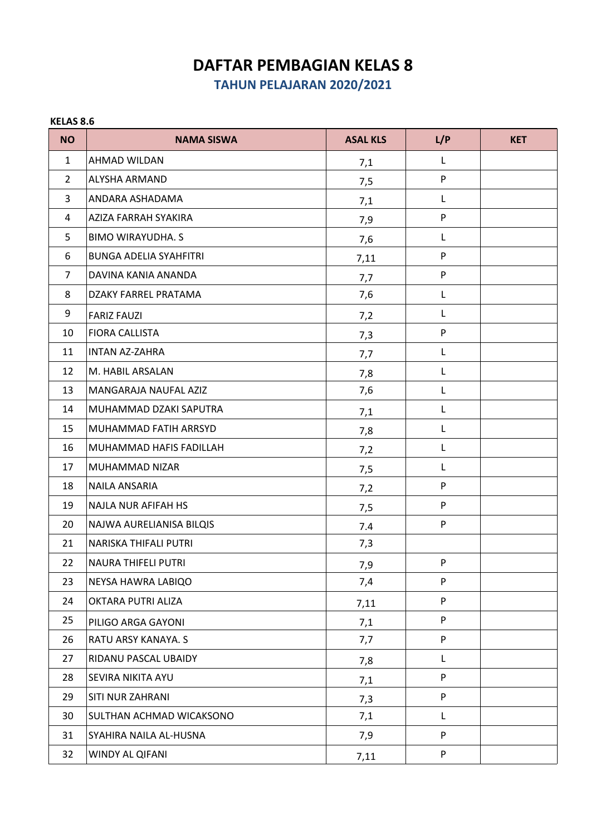**TAHUN PELAJARAN 2020/2021**

| <b>NO</b>      | <b>NAMA SISWA</b>             | <b>ASAL KLS</b> | L/P | <b>KET</b> |
|----------------|-------------------------------|-----------------|-----|------------|
| $\mathbf{1}$   | <b>AHMAD WILDAN</b>           | 7,1             | L   |            |
| $\overline{2}$ | <b>ALYSHA ARMAND</b>          | 7,5             | P   |            |
| $\overline{3}$ | ANDARA ASHADAMA               | 7,1             | L   |            |
| 4              | AZIZA FARRAH SYAKIRA          | 7,9             | P   |            |
| 5              | <b>BIMO WIRAYUDHA, S</b>      | 7,6             | L   |            |
| 6              | <b>BUNGA ADELIA SYAHFITRI</b> | 7,11            | P   |            |
| $\overline{7}$ | DAVINA KANIA ANANDA           | 7,7             | P   |            |
| 8              | DZAKY FARREL PRATAMA          | 7,6             | L   |            |
| 9              | <b>FARIZ FAUZI</b>            | 7,2             | L   |            |
| 10             | <b>FIORA CALLISTA</b>         | 7,3             | P   |            |
| 11             | <b>INTAN AZ-ZAHRA</b>         | 7,7             | L   |            |
| 12             | M. HABIL ARSALAN              | 7,8             | L   |            |
| 13             | MANGARAJA NAUFAL AZIZ         | 7,6             | L   |            |
| 14             | MUHAMMAD DZAKI SAPUTRA        | 7,1             | L   |            |
| 15             | MUHAMMAD FATIH ARRSYD         | 7,8             | L   |            |
| 16             | MUHAMMAD HAFIS FADILLAH       | 7,2             | L   |            |
| 17             | MUHAMMAD NIZAR                | 7,5             | L   |            |
| 18             | <b>NAILA ANSARIA</b>          | 7,2             | P   |            |
| 19             | NAJLA NUR AFIFAH HS           | 7,5             | P   |            |
| 20             | NAJWA AURELIANISA BILQIS      | 7.4             | P   |            |
| 21             | <b>NARISKA THIFALI PUTRI</b>  | 7,3             |     |            |
| 22             | <b>NAURA THIFELI PUTRI</b>    | 7,9             | P   |            |
| 23             | NEYSA HAWRA LABIQO            | 7,4             | P   |            |
| 24             | <b>OKTARA PUTRI ALIZA</b>     | 7,11            | P   |            |
| 25             | PILIGO ARGA GAYONI            | 7,1             | P   |            |
| 26             | RATU ARSY KANAYA. S           | 7,7             | P   |            |
| 27             | RIDANU PASCAL UBAIDY          | 7,8             | L   |            |
| 28             | SEVIRA NIKITA AYU             | 7,1             | P   |            |
| 29             | <b>SITI NUR ZAHRANI</b>       | 7,3             | P   |            |
| 30             | SULTHAN ACHMAD WICAKSONO      | 7,1             | L   |            |
| 31             | SYAHIRA NAILA AL-HUSNA        | 7,9             | P   |            |
| 32             | WINDY AL QIFANI               | 7,11            | P   |            |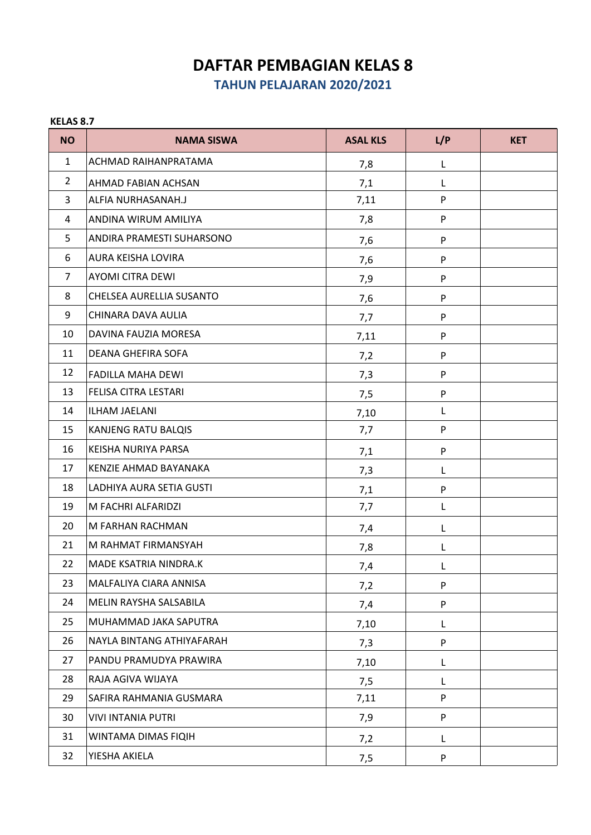**TAHUN PELAJARAN 2020/2021**

| <b>NO</b>      | <b>NAMA SISWA</b>           | <b>ASAL KLS</b> | L/P       | <b>KET</b> |
|----------------|-----------------------------|-----------------|-----------|------------|
| $\mathbf{1}$   | <b>ACHMAD RAIHANPRATAMA</b> | 7,8             | Г         |            |
| $\overline{2}$ | AHMAD FABIAN ACHSAN         | 7,1             | L         |            |
| 3              | ALFIA NURHASANAH.J          | 7,11            | P         |            |
| 4              | ANDINA WIRUM AMILIYA        | 7,8             | P         |            |
| 5              | ANDIRA PRAMESTI SUHARSONO   | 7,6             | P         |            |
| 6              | <b>AURA KEISHA LOVIRA</b>   | 7,6             | P         |            |
| $\overline{7}$ | <b>AYOMI CITRA DEWI</b>     | 7,9             | P         |            |
| 8              | CHELSEA AURELLIA SUSANTO    | 7,6             | P         |            |
| 9              | CHINARA DAVA AULIA          | 7,7             | P         |            |
| 10             | DAVINA FAUZIA MORESA        | 7,11            | P         |            |
| 11             | <b>DEANA GHEFIRA SOFA</b>   | 7,2             | P         |            |
| 12             | <b>FADILLA MAHA DEWI</b>    | 7,3             | P         |            |
| 13             | <b>FELISA CITRA LESTARI</b> | 7,5             | P         |            |
| 14             | <b>ILHAM JAELANI</b>        | 7,10            | L         |            |
| 15             | <b>KANJENG RATU BALQIS</b>  | 7,7             | P         |            |
| 16             | KEISHA NURIYA PARSA         | 7,1             | P         |            |
| 17             | KENZIE AHMAD BAYANAKA       | 7,3             | L         |            |
| 18             | LADHIYA AURA SETIA GUSTI    | 7,1             | P         |            |
| 19             | M FACHRI ALFARIDZI          | 7,7             | L         |            |
| 20             | M FARHAN RACHMAN            | 7,4             | L         |            |
| 21             | M RAHMAT FIRMANSYAH         | 7,8             | L         |            |
| 22             | MADE KSATRIA NINDRA.K       | 7,4             | L         |            |
| 23             | MALFALIYA CIARA ANNISA      | 7,2             | ${\sf P}$ |            |
| 24             | MELIN RAYSHA SALSABILA      | 7,4             | P         |            |
| 25             | MUHAMMAD JAKA SAPUTRA       | 7,10            | L         |            |
| 26             | NAYLA BINTANG ATHIYAFARAH   | 7,3             | P         |            |
| 27             | PANDU PRAMUDYA PRAWIRA      | 7,10            | L         |            |
| 28             | RAJA AGIVA WIJAYA           | 7,5             | L         |            |
| 29             | SAFIRA RAHMANIA GUSMARA     | 7,11            | P         |            |
| 30             | <b>VIVI INTANIA PUTRI</b>   | 7,9             | P         |            |
| 31             | WINTAMA DIMAS FIQIH         | 7,2             | L         |            |
| 32             | YIESHA AKIELA               | 7,5             | P         |            |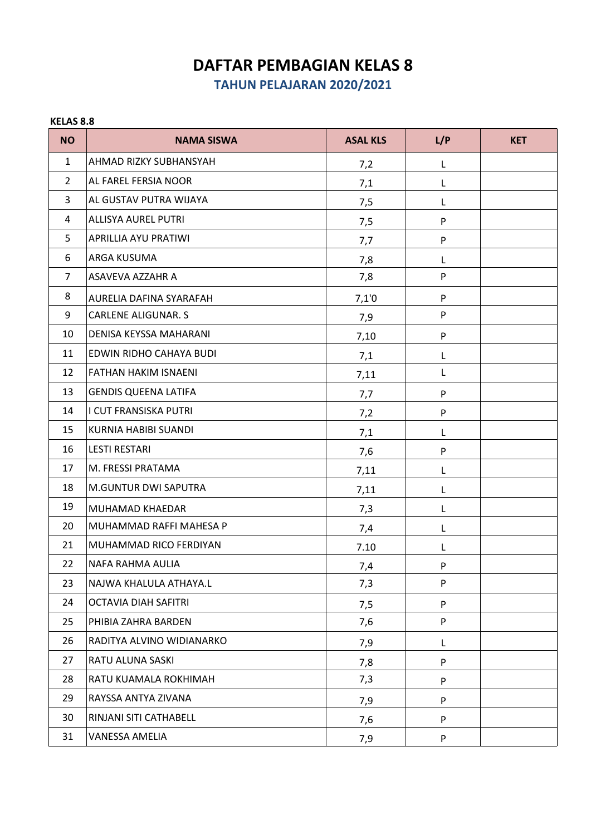**TAHUN PELAJARAN 2020/2021**

| <b>NO</b>      | <b>NAMA SISWA</b>              | <b>ASAL KLS</b> | L/P | <b>KET</b> |
|----------------|--------------------------------|-----------------|-----|------------|
| $\mathbf{1}$   | <b>AHMAD RIZKY SUBHANSYAH</b>  | 7,2             | L   |            |
| $\overline{2}$ | AL FAREL FERSIA NOOR           | 7,1             | L   |            |
| 3              | AL GUSTAV PUTRA WIJAYA         | 7,5             | L   |            |
| 4              | <b>ALLISYA AUREL PUTRI</b>     | 7,5             | P   |            |
| 5              | <b>APRILLIA AYU PRATIWI</b>    | 7,7             | P   |            |
| 6              | <b>ARGA KUSUMA</b>             | 7,8             | L   |            |
| $\overline{7}$ | <b>ASAVEVA AZZAHR A</b>        | 7,8             | P   |            |
| 8              | <b>AURELIA DAFINA SYARAFAH</b> | 7,1'0           | P   |            |
| 9              | <b>CARLENE ALIGUNAR. S</b>     | 7,9             | P   |            |
| 10             | <b>DENISA KEYSSA MAHARANI</b>  | 7,10            | P   |            |
| 11             | EDWIN RIDHO CAHAYA BUDI        | 7,1             | L   |            |
| 12             | <b>FATHAN HAKIM ISNAENI</b>    | 7,11            | L   |            |
| 13             | <b>GENDIS QUEENA LATIFA</b>    | 7,7             | P   |            |
| 14             | I CUT FRANSISKA PUTRI          | 7,2             | P   |            |
| 15             | KURNIA HABIBI SUANDI           | 7,1             | L   |            |
| 16             | <b>LESTI RESTARI</b>           | 7,6             | P   |            |
| 17             | M. FRESSI PRATAMA              | 7,11            | L   |            |
| 18             | M.GUNTUR DWI SAPUTRA           | 7,11            | L   |            |
| 19             | MUHAMAD KHAEDAR                | 7,3             | L   |            |
| 20             | MUHAMMAD RAFFI MAHESA P        | 7,4             | L   |            |
| 21             | MUHAMMAD RICO FERDIYAN         | 7.10            | L   |            |
| 22             | <b>NAFA RAHMA AULIA</b>        | 7,4             | P   |            |
| 23             | NAJWA KHALULA ATHAYA.L         | 7,3             | P   |            |
| 24             | <b>OCTAVIA DIAH SAFITRI</b>    | 7,5             | P   |            |
| 25             | PHIBIA ZAHRA BARDEN            | 7,6             | P   |            |
| 26             | RADITYA ALVINO WIDIANARKO      | 7,9             | L   |            |
| 27             | RATU ALUNA SASKI               | 7,8             | P   |            |
| 28             | RATU KUAMALA ROKHIMAH          | 7,3             | P   |            |
| 29             | RAYSSA ANTYA ZIVANA            | 7,9             | P   |            |
| 30             | RINJANI SITI CATHABELL         | 7,6             | P   |            |
| 31             | <b>VANESSA AMELIA</b>          | 7,9             | P   |            |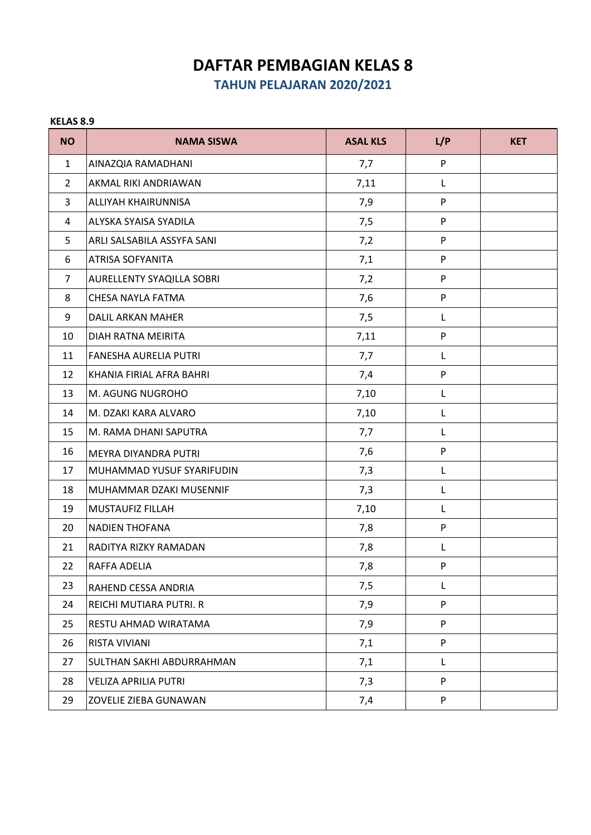**TAHUN PELAJARAN 2020/2021**

| <b>NO</b>      | <b>NAMA SISWA</b>                | <b>ASAL KLS</b> | L/P | <b>KET</b> |
|----------------|----------------------------------|-----------------|-----|------------|
| $\mathbf{1}$   | AINAZQIA RAMADHANI               | 7,7             | P   |            |
| $\overline{2}$ | AKMAL RIKI ANDRIAWAN             | 7,11            | L   |            |
| 3              | <b>ALLIYAH KHAIRUNNISA</b>       | 7,9             | P   |            |
| 4              | ALYSKA SYAISA SYADILA            | 7,5             | P   |            |
| 5              | ARLI SALSABILA ASSYFA SANI       | 7,2             | P   |            |
| 6              | <b>ATRISA SOFYANITA</b>          | 7,1             | P   |            |
| $\overline{7}$ | <b>AURELLENTY SYAQILLA SOBRI</b> | 7,2             | P   |            |
| 8              | CHESA NAYLA FATMA                | 7,6             | P   |            |
| 9              | <b>DALIL ARKAN MAHER</b>         | 7,5             | L   |            |
| 10             | DIAH RATNA MEIRITA               | 7,11            | P   |            |
| 11             | <b>FANESHA AURELIA PUTRI</b>     | 7,7             | L   |            |
| 12             | KHANIA FIRIAL AFRA BAHRI         | 7,4             | P   |            |
| 13             | M. AGUNG NUGROHO                 | 7,10            | L   |            |
| 14             | M. DZAKI KARA ALVARO             | 7,10            | L   |            |
| 15             | M. RAMA DHANI SAPUTRA            | 7,7             | L   |            |
| 16             | <b>MEYRA DIYANDRA PUTRI</b>      | 7,6             | P   |            |
| 17             | MUHAMMAD YUSUF SYARIFUDIN        | 7,3             | L   |            |
| 18             | MUHAMMAR DZAKI MUSENNIF          | 7,3             | L   |            |
| 19             | <b>MUSTAUFIZ FILLAH</b>          | 7,10            | L   |            |
| 20             | <b>NADIEN THOFANA</b>            | 7,8             | P   |            |
| 21             | RADITYA RIZKY RAMADAN            | 7,8             | L   |            |
| 22             | <b>RAFFA ADELIA</b>              | 7,8             | P   |            |
| 23             | RAHEND CESSA ANDRIA              | 7,5             | L   |            |
| 24             | REICHI MUTIARA PUTRI. R          | 7,9             | P   |            |
| 25             | RESTU AHMAD WIRATAMA             | 7,9             | P   |            |
| 26             | <b>RISTA VIVIANI</b>             | 7,1             | P   |            |
| 27             | <b>SULTHAN SAKHI ABDURRAHMAN</b> | 7,1             | L   |            |
| 28             | <b>VELIZA APRILIA PUTRI</b>      | 7,3             | P   |            |
| 29             | <b>ZOVELIE ZIEBA GUNAWAN</b>     | 7,4             | P   |            |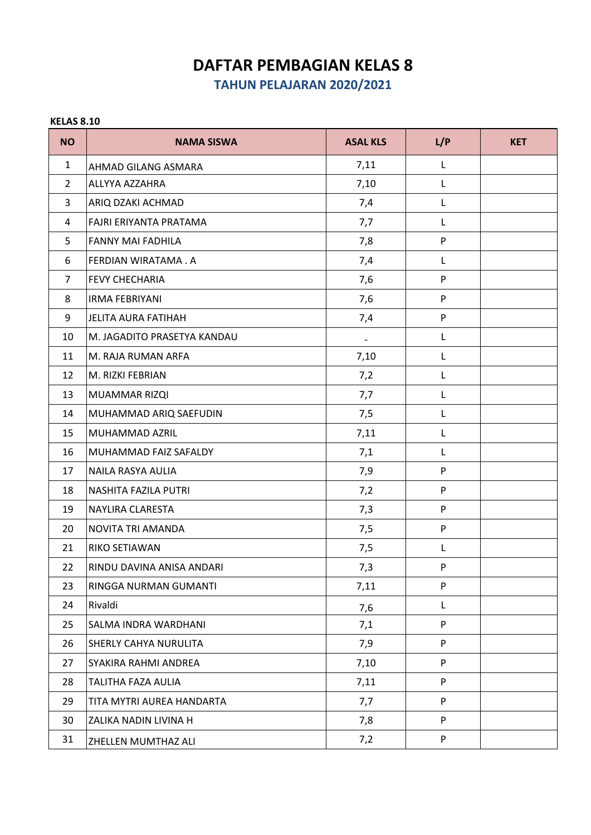**TAHUN PELAJARAN 2020/2021**

| <b>NO</b>      | <b>NAMA SISWA</b>           | <b>ASAL KLS</b>          | L/P | <b>KET</b> |
|----------------|-----------------------------|--------------------------|-----|------------|
| $\mathbf{1}$   | <b>AHMAD GILANG ASMARA</b>  | 7,11                     | L   |            |
| $\overline{2}$ | ALLYYA AZZAHRA              | 7,10                     | L   |            |
| 3              | ARIQ DZAKI ACHMAD           | 7,4                      | L   |            |
| 4              | FAJRI ERIYANTA PRATAMA      | 7,7                      | L   |            |
| 5              | <b>FANNY MAI FADHILA</b>    | 7,8                      | P   |            |
| 6              | FERDIAN WIRATAMA, A         | 7,4                      | L   |            |
| $\overline{7}$ | <b>FEVY CHECHARIA</b>       | 7,6                      | P   |            |
| 8              | <b>IRMA FEBRIYANI</b>       | 7,6                      | P   |            |
| 9              | <b>JELITA AURA FATIHAH</b>  | 7,4                      | P   |            |
| 10             | M. JAGADITO PRASETYA KANDAU | $\overline{\phantom{a}}$ | L   |            |
| 11             | M. RAJA RUMAN ARFA          | 7,10                     | L   |            |
| 12             | M. RIZKI FEBRIAN            | 7,2                      | L   |            |
| 13             | MUAMMAR RIZQI               | 7,7                      | L   |            |
| 14             | MUHAMMAD ARIQ SAEFUDIN      | 7,5                      | L   |            |
| 15             | MUHAMMAD AZRIL              | 7,11                     | L   |            |
| 16             | MUHAMMAD FAIZ SAFALDY       | 7,1                      | L   |            |
| 17             | <b>NAILA RASYA AULIA</b>    | 7,9                      | P   |            |
| 18             | NASHITA FAZILA PUTRI        | 7,2                      | P   |            |
| 19             | NAYLIRA CLARESTA            | 7,3                      | P   |            |
| 20             | NOVITA TRI AMANDA           | 7,5                      | P   |            |
| 21             | RIKO SETIAWAN               | 7,5                      | L   |            |
| 22             | RINDU DAVINA ANISA ANDARI   | 7,3                      | P   |            |
| 23             | RINGGA NURMAN GUMANTI       | 7,11                     | P   |            |
| 24             | Rivaldi                     | 7,6                      | L   |            |
| 25             | <b>SALMA INDRA WARDHANI</b> | 7,1                      | P   |            |
| 26             | SHERLY CAHYA NURULITA       | 7,9                      | P   |            |
| 27             | SYAKIRA RAHMI ANDREA        | 7,10                     | P   |            |
| 28             | <b>TALITHA FAZA AULIA</b>   | 7,11                     | P   |            |
| 29             | TITA MYTRI AUREA HANDARTA   | 7,7                      | P   |            |
| 30             | ZALIKA NADIN LIVINA H       | 7,8                      | P   |            |
| 31             | <b>ZHELLEN MUMTHAZ ALI</b>  | 7,2                      | P   |            |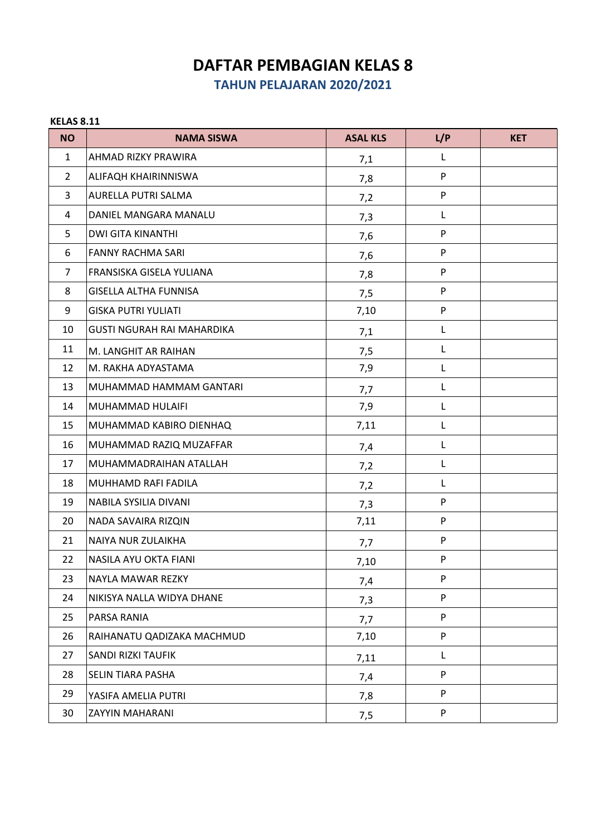**TAHUN PELAJARAN 2020/2021**

| <b>NO</b>      | <b>NAMA SISWA</b>                 | <b>ASAL KLS</b> | L/P | <b>KET</b> |
|----------------|-----------------------------------|-----------------|-----|------------|
| $\mathbf{1}$   | AHMAD RIZKY PRAWIRA               | 7,1             | L   |            |
| $\overline{2}$ | <b>ALIFAQH KHAIRINNISWA</b>       | 7,8             | P   |            |
| 3              | AURELLA PUTRI SALMA               | 7,2             | P   |            |
| 4              | DANIEL MANGARA MANALU             | 7,3             | L   |            |
| 5              | <b>DWI GITA KINANTHI</b>          | 7,6             | P   |            |
| 6              | <b>FANNY RACHMA SARI</b>          | 7,6             | P   |            |
| $\overline{7}$ | FRANSISKA GISELA YULIANA          | 7,8             | P   |            |
| 8              | <b>GISELLA ALTHA FUNNISA</b>      | 7,5             | P   |            |
| 9              | <b>GISKA PUTRI YULIATI</b>        | 7,10            | P   |            |
| 10             | <b>GUSTI NGURAH RAI MAHARDIKA</b> | 7,1             | L   |            |
| 11             | M. LANGHIT AR RAIHAN              | 7,5             | L   |            |
| 12             | M. RAKHA ADYASTAMA                | 7,9             | L   |            |
| 13             | MUHAMMAD HAMMAM GANTARI           | 7,7             | L   |            |
| 14             | MUHAMMAD HULAIFI                  | 7,9             | L   |            |
| 15             | MUHAMMAD KABIRO DIENHAQ           | 7,11            | L   |            |
| 16             | MUHAMMAD RAZIQ MUZAFFAR           | 7,4             | L   |            |
| 17             | MUHAMMADRAIHAN ATALLAH            | 7,2             | L   |            |
| 18             | MUHHAMD RAFI FADILA               | 7,2             | L   |            |
| 19             | NABILA SYSILIA DIVANI             | 7,3             | P   |            |
| 20             | NADA SAVAIRA RIZQIN               | 7,11            | P   |            |
| 21             | NAIYA NUR ZULAIKHA                | 7,7             | P   |            |
| 22             | NASILA AYU OKTA FIANI             | 7,10            | P   |            |
| 23             | <b>NAYLA MAWAR REZKY</b>          | 7,4             | P   |            |
| 24             | NIKISYA NALLA WIDYA DHANE         | 7,3             | P   |            |
| 25             | PARSA RANIA                       | 7,7             | P   |            |
| 26             | RAIHANATU QADIZAKA MACHMUD        | 7,10            | P   |            |
| 27             | <b>SANDI RIZKI TAUFIK</b>         | 7,11            | L   |            |
| 28             | <b>SELIN TIARA PASHA</b>          | 7,4             | P   |            |
| 29             | YASIFA AMELIA PUTRI               | 7,8             | P   |            |
| 30             | ZAYYIN MAHARANI                   | 7,5             | P   |            |